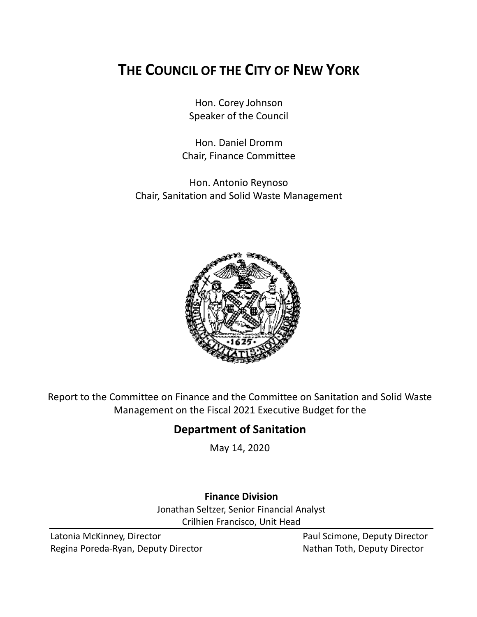# **THE COUNCIL OF THE CITY OF NEW YORK**

Hon. Corey Johnson Speaker of the Council

Hon. Daniel Dromm Chair, Finance Committee

Hon. Antonio Reynoso Chair, Sanitation and Solid Waste Management



Report to the Committee on Finance and the Committee on Sanitation and Solid Waste Management on the Fiscal 2021 Executive Budget for the

## **Department of Sanitation**

May 14, 2020

### **Finance Division**

Jonathan Seltzer, Senior Financial Analyst Crilhien Francisco, Unit Head

Latonia McKinney, Director **Paul Scimone, Deputy Director** Paul Scimone, Deputy Director Regina Poreda-Ryan, Deputy Director Nathan Toth, Deputy Director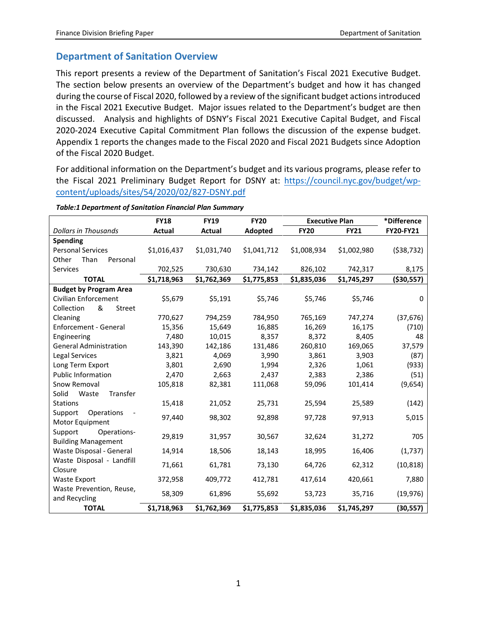### **Department of Sanitation Overview**

This report presents a review of the Department of Sanitation's Fiscal 2021 Executive Budget. The section below presents an overview of the Department's budget and how it has changed during the course of Fiscal 2020, followed by a review of the significant budget actions introduced in the Fiscal 2021 Executive Budget. Major issues related to the Department's budget are then discussed. Analysis and highlights of DSNY's Fiscal 2021 Executive Capital Budget, and Fiscal 2020-2024 Executive Capital Commitment Plan follows the discussion of the expense budget. Appendix 1 reports the changes made to the Fiscal 2020 and Fiscal 2021 Budgets since Adoption of the Fiscal 2020 Budget.

For additional information on the Department's budget and its various programs, please refer to the Fiscal 2021 Preliminary Budget Report for DSNY at: [https://council.nyc.gov/budget/wp](https://council.nyc.gov/budget/wp-content/uploads/sites/54/2020/02/827-DSNY.pdf)[content/uploads/sites/54/2020/02/827-DSNY.pdf](https://council.nyc.gov/budget/wp-content/uploads/sites/54/2020/02/827-DSNY.pdf)

|                                                      | <b>FY18</b> | <b>FY19</b> | <b>FY20</b> | <b>Executive Plan</b>      |             | *Difference      |
|------------------------------------------------------|-------------|-------------|-------------|----------------------------|-------------|------------------|
| <b>Dollars in Thousands</b>                          | Actual      | Actual      | Adopted     | <b>FY20</b><br><b>FY21</b> |             | <b>FY20-FY21</b> |
| <b>Spending</b>                                      |             |             |             |                            |             |                  |
| <b>Personal Services</b>                             | \$1,016,437 | \$1,031,740 | \$1,041,712 | \$1,008,934                | \$1,002,980 | (538, 732)       |
| Other<br>Than<br>Personal                            |             |             |             |                            |             |                  |
| <b>Services</b>                                      | 702,525     | 730,630     | 734,142     | 826,102                    | 742,317     | 8,175            |
| <b>TOTAL</b>                                         | \$1,718,963 | \$1,762,369 | \$1,775,853 | \$1,835,036                | \$1,745,297 | ( \$30,557)      |
| <b>Budget by Program Area</b>                        |             |             |             |                            |             |                  |
| Civilian Enforcement                                 | \$5,679     | \$5,191     | \$5,746     | \$5,746                    | \$5,746     | $\mathbf{0}$     |
| &<br>Collection<br>Street                            |             |             |             |                            |             |                  |
| Cleaning                                             | 770,627     | 794,259     | 784,950     | 765,169                    | 747,274     | (37, 676)        |
| <b>Enforcement - General</b>                         | 15,356      | 15,649      | 16,885      | 16,269                     | 16,175      | (710)            |
| Engineering                                          | 7,480       | 10,015      | 8,357       | 8,372                      | 8,405       | 48               |
| <b>General Administration</b>                        | 143,390     | 142,186     | 131,486     | 260,810                    | 169,065     | 37,579           |
| Legal Services                                       | 3,821       | 4,069       | 3,990       | 3,861                      | 3,903       | (87)             |
| Long Term Export                                     | 3,801       | 2,690       | 1,994       | 2,326                      | 1,061       | (933)            |
| <b>Public Information</b>                            | 2,470       | 2,663       | 2,437       | 2,383                      | 2,386       | (51)             |
| Snow Removal                                         | 105,818     | 82,381      | 111,068     | 59,096                     | 101,414     | (9,654)          |
| Solid<br>Waste<br>Transfer                           |             |             |             |                            |             |                  |
| <b>Stations</b>                                      | 15,418      | 21,052      | 25,731      | 25,594                     | 25,589      | (142)            |
| Support<br>Operations<br>Motor Equipment             | 97,440      | 98,302      | 92,898      | 97,728                     | 97,913      | 5,015            |
| Support<br>Operations-<br><b>Building Management</b> | 29,819      | 31,957      | 30,567      | 32,624                     | 31,272      | 705              |
| Waste Disposal - General                             | 14,914      | 18,506      | 18,143      | 18,995                     | 16,406      | (1,737)          |
| Waste Disposal - Landfill<br>Closure                 | 71,661      | 61,781      | 73,130      | 64,726                     | 62,312      | (10, 818)        |
| <b>Waste Export</b>                                  | 372,958     | 409,772     | 412,781     | 417,614                    | 420,661     | 7,880            |
| Waste Prevention, Reuse,<br>and Recycling            | 58,309      | 61,896      | 55,692      | 53,723                     | 35,716      | (19, 976)        |
| <b>TOTAL</b>                                         | \$1,718,963 | \$1,762,369 | \$1,775,853 | \$1,835,036                | \$1,745,297 | (30, 557)        |

#### *Table:1 Department of Sanitation Financial Plan Summary*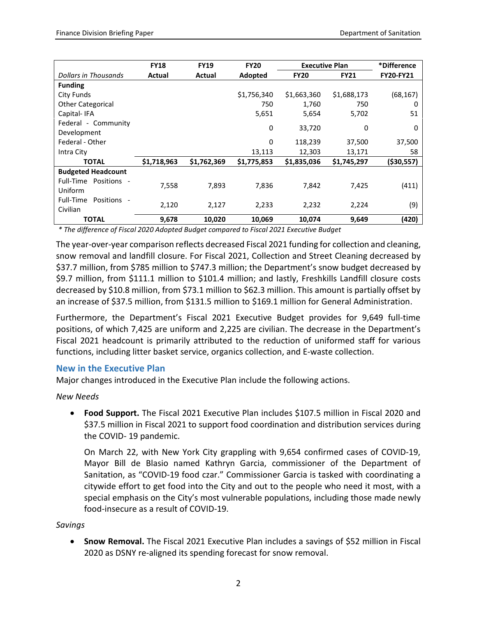|                                                    | <b>FY18</b> | <b>FY19</b>   | <b>FY20</b>    | <b>Executive Plan</b> |             | *Difference      |
|----------------------------------------------------|-------------|---------------|----------------|-----------------------|-------------|------------------|
| Dollars in Thousands                               | Actual      | <b>Actual</b> | <b>Adopted</b> | <b>FY20</b>           | <b>FY21</b> | <b>FY20-FY21</b> |
| <b>Funding</b>                                     |             |               |                |                       |             |                  |
| City Funds                                         |             |               | \$1,756,340    | \$1,663,360           | \$1,688,173 | (68, 167)        |
| <b>Other Categorical</b>                           |             |               | 750            | 1,760                 | 750         | 0                |
| Capital-IFA                                        |             |               | 5,651          | 5,654                 | 5,702       | 51               |
| Federal - Community                                |             |               |                |                       |             |                  |
| Development                                        |             |               | 0              | 33,720                | 0           | 0                |
| Federal - Other                                    |             |               | 0              | 118,239               | 37,500      | 37,500           |
| Intra City                                         |             |               | 13,113         | 12,303                | 13,171      | 58               |
| <b>TOTAL</b>                                       | \$1,718,963 | \$1,762,369   | \$1,775,853    | \$1,835,036           | \$1,745,297 | ( \$30, 557)     |
| <b>Budgeted Headcount</b>                          |             |               |                |                       |             |                  |
| Full-Time Positions -                              |             |               |                |                       |             |                  |
| Uniform                                            | 7.558       | 7,893         | 7,836          | 7,842                 | 7,425       | (411)            |
| Full-Time<br>Positions<br>$\overline{\phantom{a}}$ |             |               |                |                       |             |                  |
| Civilian                                           | 2,120       | 2,127         | 2,233          | 2,232                 | 2,224       | (9)              |
| <b>TOTAL</b>                                       | 9,678       | 10,020        | 10,069         | 10,074                | 9,649       | (420)            |

*\* The difference of Fiscal 2020 Adopted Budget compared to Fiscal 2021 Executive Budget*

The year-over-year comparison reflects decreased Fiscal 2021 funding for collection and cleaning, snow removal and landfill closure. For Fiscal 2021, Collection and Street Cleaning decreased by \$37.7 million, from \$785 million to \$747.3 million; the Department's snow budget decreased by \$9.7 million, from \$111.1 million to \$101.4 million; and lastly, Freshkills Landfill closure costs decreased by \$10.8 million, from \$73.1 million to \$62.3 million. This amount is partially offset by an increase of \$37.5 million, from \$131.5 million to \$169.1 million for General Administration.

Furthermore, the Department's Fiscal 2021 Executive Budget provides for 9,649 full-time positions, of which 7,425 are uniform and 2,225 are civilian. The decrease in the Department's Fiscal 2021 headcount is primarily attributed to the reduction of uniformed staff for various functions, including litter basket service, organics collection, and E-waste collection.

#### **New in the Executive Plan**

Major changes introduced in the Executive Plan include the following actions.

*New Needs* 

• **Food Support.** The Fiscal 2021 Executive Plan includes \$107.5 million in Fiscal 2020 and \$37.5 million in Fiscal 2021 to support food coordination and distribution services during the COVID- 19 pandemic.

On March 22, with New York City grappling with 9,654 confirmed cases of COVID-19, Mayor Bill de Blasio named Kathryn Garcia, commissioner of the Department of Sanitation, as "COVID-19 food czar." Commissioner Garcia is tasked with coordinating a citywide effort to get food into the City and out to the people who need it most, with a special emphasis on the City's most vulnerable populations, including those made newly food-insecure as a result of COVID-19.

*Savings*

• **Snow Removal.** The Fiscal 2021 Executive Plan includes a savings of \$52 million in Fiscal 2020 as DSNY re-aligned its spending forecast for snow removal.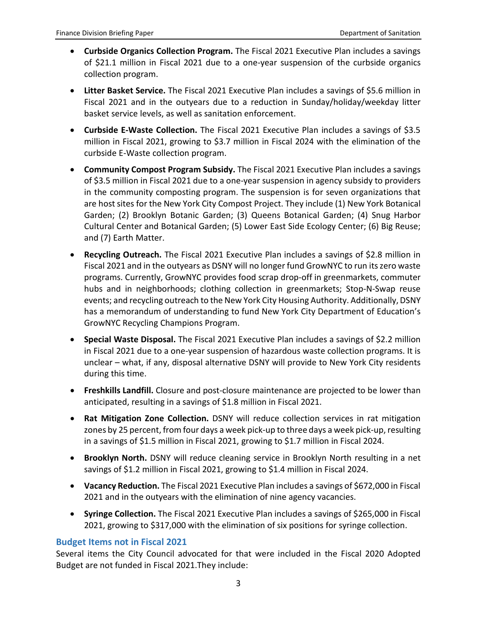- **Curbside Organics Collection Program.** The Fiscal 2021 Executive Plan includes a savings of \$21.1 million in Fiscal 2021 due to a one-year suspension of the curbside organics collection program.
- **Litter Basket Service.** The Fiscal 2021 Executive Plan includes a savings of \$5.6 million in Fiscal 2021 and in the outyears due to a reduction in Sunday/holiday/weekday litter basket service levels, as well as sanitation enforcement.
- **Curbside E-Waste Collection.** The Fiscal 2021 Executive Plan includes a savings of \$3.5 million in Fiscal 2021, growing to \$3.7 million in Fiscal 2024 with the elimination of the curbside E-Waste collection program.
- **Community Compost Program Subsidy.** The Fiscal 2021 Executive Plan includes a savings of \$3.5 million in Fiscal 2021 due to a one-year suspension in agency subsidy to providers in the community composting program. The suspension is for seven organizations that are host sites for the New York City Compost Project. They include (1) New York Botanical Garden; (2) Brooklyn Botanic Garden; (3) Queens Botanical Garden; (4) Snug Harbor Cultural Center and Botanical Garden; (5) Lower East Side Ecology Center; (6) Big Reuse; and (7) Earth Matter.
- **Recycling Outreach.** The Fiscal 2021 Executive Plan includes a savings of \$2.8 million in Fiscal 2021 and in the outyears as DSNY will no longer fund GrowNYC to run its zero waste programs. Currently, GrowNYC provides food scrap drop-off in greenmarkets, commuter hubs and in neighborhoods; clothing collection in greenmarkets; Stop-N-Swap reuse events; and recycling outreach to the New York City Housing Authority. Additionally, DSNY has a memorandum of understanding to fund New York City Department of Education's GrowNYC Recycling Champions Program.
- **Special Waste Disposal.** The Fiscal 2021 Executive Plan includes a savings of \$2.2 million in Fiscal 2021 due to a one-year suspension of hazardous waste collection programs. It is unclear – what, if any, disposal alternative DSNY will provide to New York City residents during this time.
- **Freshkills Landfill.** Closure and post-closure maintenance are projected to be lower than anticipated, resulting in a savings of \$1.8 million in Fiscal 2021.
- **Rat Mitigation Zone Collection.** DSNY will reduce collection services in rat mitigation zones by 25 percent, from four days a week pick-up to three days a week pick-up, resulting in a savings of \$1.5 million in Fiscal 2021, growing to \$1.7 million in Fiscal 2024.
- **Brooklyn North.** DSNY will reduce cleaning service in Brooklyn North resulting in a net savings of \$1.2 million in Fiscal 2021, growing to \$1.4 million in Fiscal 2024.
- **Vacancy Reduction.** The Fiscal 2021 Executive Plan includes a savings of \$672,000 in Fiscal 2021 and in the outyears with the elimination of nine agency vacancies.
- **Syringe Collection.** The Fiscal 2021 Executive Plan includes a savings of \$265,000 in Fiscal 2021, growing to \$317,000 with the elimination of six positions for syringe collection.

### **Budget Items not in Fiscal 2021**

Several items the City Council advocated for that were included in the Fiscal 2020 Adopted Budget are not funded in Fiscal 2021.They include: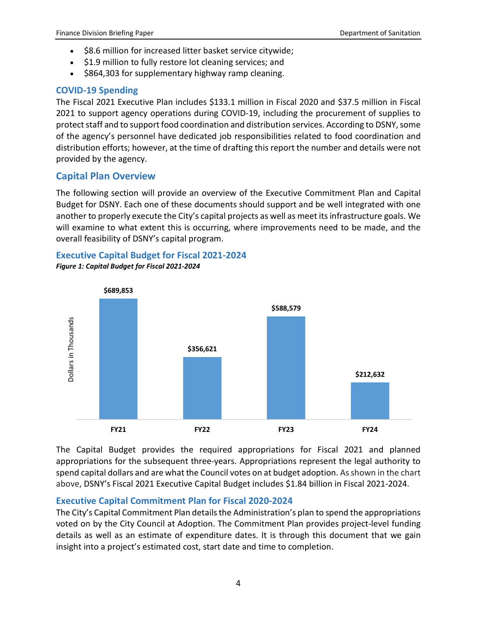- \$8.6 million for increased litter basket service citywide;
- \$1.9 million to fully restore lot cleaning services; and
- \$864,303 for supplementary highway ramp cleaning.

#### **COVID-19 Spending**

The Fiscal 2021 Executive Plan includes \$133.1 million in Fiscal 2020 and \$37.5 million in Fiscal 2021 to support agency operations during COVID-19, including the procurement of supplies to protect staff and to support food coordination and distribution services. According to DSNY, some of the agency's personnel have dedicated job responsibilities related to food coordination and distribution efforts; however, at the time of drafting this report the number and details were not provided by the agency.

### **Capital Plan Overview**

The following section will provide an overview of the Executive Commitment Plan and Capital Budget for DSNY. Each one of these documents should support and be well integrated with one another to properly execute the City's capital projects as well as meet its infrastructure goals. We will examine to what extent this is occurring, where improvements need to be made, and the overall feasibility of DSNY's capital program.

## **Executive Capital Budget for Fiscal 2021-2024**

*Figure 1: Capital Budget for Fiscal 2021-2024*



The Capital Budget provides the required appropriations for Fiscal 2021 and planned appropriations for the subsequent three-years. Appropriations represent the legal authority to spend capital dollars and are what the Council votes on at budget adoption. As shown in the chart above, DSNY's Fiscal 2021 Executive Capital Budget includes \$1.84 billion in Fiscal 2021-2024.

### **Executive Capital Commitment Plan for Fiscal 2020-2024**

The City's Capital Commitment Plan details the Administration's plan to spend the appropriations voted on by the City Council at Adoption. The Commitment Plan provides project-level funding details as well as an estimate of expenditure dates. It is through this document that we gain insight into a project's estimated cost, start date and time to completion.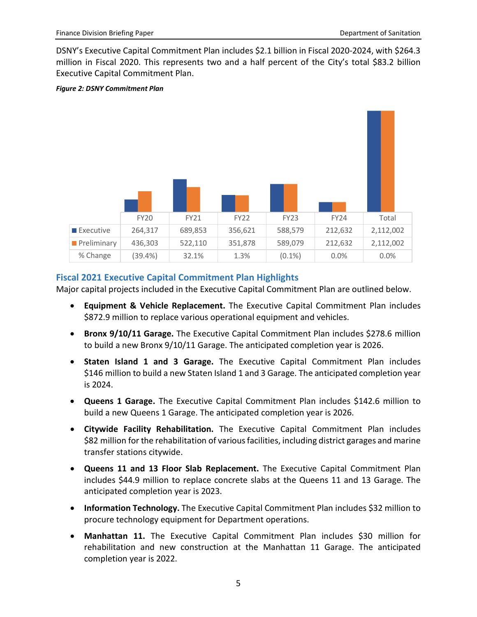DSNY's Executive Capital Commitment Plan includes \$2.1 billion in Fiscal 2020-2024, with \$264.3 million in Fiscal 2020. This represents two and a half percent of the City's total \$83.2 billion Executive Capital Commitment Plan.

#### *Figure 2: DSNY Commitment Plan*



#### **Fiscal 2021 Executive Capital Commitment Plan Highlights**

Major capital projects included in the Executive Capital Commitment Plan are outlined below.

- **Equipment & Vehicle Replacement.** The Executive Capital Commitment Plan includes \$872.9 million to replace various operational equipment and vehicles.
- **Bronx 9/10/11 Garage.** The Executive Capital Commitment Plan includes \$278.6 million to build a new Bronx 9/10/11 Garage. The anticipated completion year is 2026.
- **Staten Island 1 and 3 Garage.** The Executive Capital Commitment Plan includes \$146 million to build a new Staten Island 1 and 3 Garage. The anticipated completion year is 2024.
- **Queens 1 Garage.** The Executive Capital Commitment Plan includes \$142.6 million to build a new Queens 1 Garage. The anticipated completion year is 2026.
- **Citywide Facility Rehabilitation.** The Executive Capital Commitment Plan includes \$82 million for the rehabilitation of various facilities, including district garages and marine transfer stations citywide.
- **Queens 11 and 13 Floor Slab Replacement.** The Executive Capital Commitment Plan includes \$44.9 million to replace concrete slabs at the Queens 11 and 13 Garage. The anticipated completion year is 2023.
- **Information Technology.** The Executive Capital Commitment Plan includes \$32 million to procure technology equipment for Department operations.
- **Manhattan 11.** The Executive Capital Commitment Plan includes \$30 million for rehabilitation and new construction at the Manhattan 11 Garage. The anticipated completion year is 2022.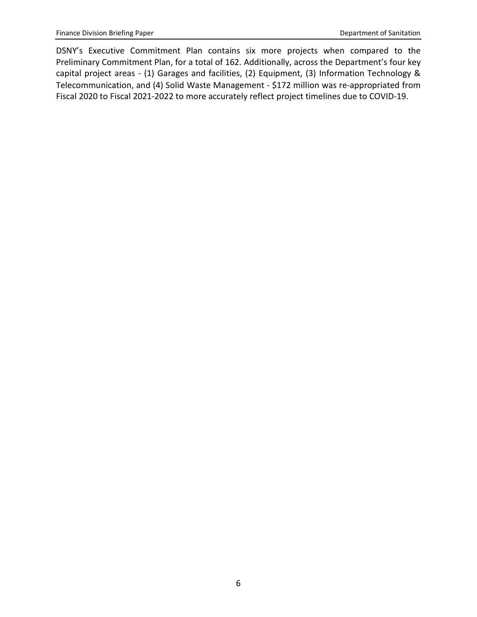DSNY's Executive Commitment Plan contains six more projects when compared to the Preliminary Commitment Plan, for a total of 162. Additionally, across the Department's four key capital project areas - (1) Garages and facilities, (2) Equipment, (3) Information Technology & Telecommunication, and (4) Solid Waste Management - \$172 million was re-appropriated from Fiscal 2020 to Fiscal 2021-2022 to more accurately reflect project timelines due to COVID-19.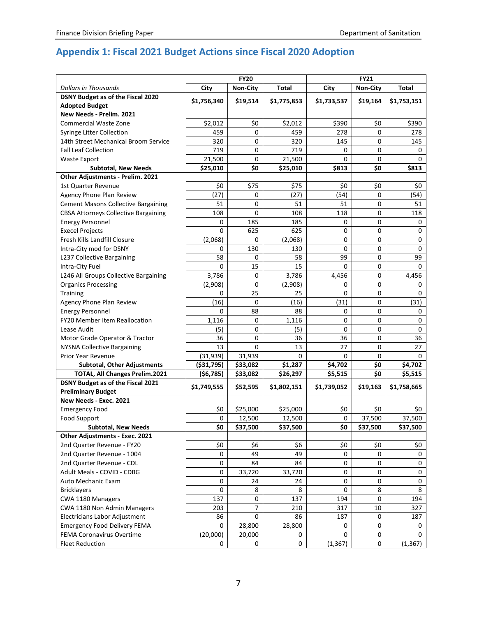## **Appendix 1: Fiscal 2021 Budget Actions since Fiscal 2020 Adoption**

| <b>Dollars in Thousands</b><br>City<br><b>Non-City</b><br>Total<br>City<br><b>Non-City</b><br><b>Total</b><br>DSNY Budget as of the Fiscal 2020<br>\$1,756,340<br>\$19,514<br>\$1,775,853<br>\$1,733,537<br>\$19,164<br>\$1,753,151<br><b>Adopted Budget</b><br>New Needs - Prelim. 2021<br>\$0<br>\$2,012<br>\$0<br>\$2,012<br>\$390<br>\$390<br>Commercial Waste Zone<br>459<br>0<br>459<br>278<br>278<br>Syringe Litter Collection<br>0<br>14th Street Mechanical Broom Service<br>320<br>0<br>320<br>145<br>0<br>145<br><b>Fall Leaf Collection</b><br>719<br>0<br>719<br>0<br>0<br>0<br>0<br>0<br><b>Waste Export</b><br>21,500<br>21,500<br>0<br>0<br>\$0<br>\$0<br>\$25,010<br>\$813<br>\$813<br><b>Subtotal, New Needs</b><br>\$25,010<br>Other Adjustments - Prelim. 2021<br>\$75<br>\$0<br>\$75<br>\$0<br>\$0<br>\$0<br><b>1st Quarter Revenue</b><br>(27)<br>(54)<br>(54)<br>Agency Phone Plan Review<br>0<br>(27)<br>0<br>51<br>0<br>51<br>51<br>0<br><b>Cement Masons Collective Bargaining</b><br>51<br>0<br>108<br>108<br>118<br>0<br>118<br><b>CBSA Attorneys Collective Bargaining</b><br>185<br>0<br><b>Energy Personnel</b><br>0<br>185<br>0<br>0<br>0<br>625<br>625<br>0<br><b>Execel Projects</b><br>0<br>0<br>Fresh Kills Landfill Closure<br>(2,068)<br>(2,068)<br>0<br>0<br>0<br>0<br>Intra-City mod for DSNY<br>130<br>0<br>0<br>130<br>0<br>0<br>58<br>99<br>99<br>L237 Collective Bargaining<br>0<br>58<br>0<br>Intra-City Fuel<br>0<br>15<br>15<br>0<br>0<br>0<br>L246 All Groups Collective Bargaining<br>3,786<br>0<br>3,786<br>4,456<br>0<br>4,456<br>0<br>0<br><b>Organics Processing</b><br>(2,908)<br>(2,908)<br>0<br>0<br>25<br>25<br>0<br>0<br>$\Omega$<br>Training<br>0<br>(16)<br>0<br>(16)<br>(31)<br>0<br>(31)<br>Agency Phone Plan Review<br>88<br>88<br>0<br><b>Energy Personnel</b><br>0<br>0<br>0<br>FY20 Member Item Reallocation<br>0<br>1,116<br>0<br>0<br>0<br>1,116<br>(5)<br>0<br>(5)<br>0<br>0<br>0<br>Lease Audit<br>36<br>0<br>36<br>Motor Grade Operator & Tractor<br>36<br>0<br>36<br>13<br><b>NYSNA Collective Bargaining</b><br>13<br>0<br>27<br>0<br>27<br><b>Prior Year Revenue</b><br>(31, 939)<br>31,939<br>0<br>0<br>0<br>0<br>\$0<br><b>Subtotal, Other Adjustments</b><br>( \$31,795)<br>\$33,082<br>\$1,287<br>\$4,702<br>\$4,702<br>\$0<br>TOTAL, All Changes Prelim.2021<br>( \$6,785)<br>\$33,082<br>\$26,297<br>\$5,515<br>\$5,515<br>DSNY Budget as of the Fiscal 2021<br>\$1,739,052<br>\$1,749,555<br>\$52,595<br>\$1,802,151<br>\$19,163<br>\$1,758,665<br><b>Preliminary Budget</b><br>New Needs - Exec. 2021<br>\$0<br>\$25,000<br>\$25,000<br>\$0<br>\$0<br><b>Emergency Food</b><br>\$0<br>Food Support<br>0<br>0<br>37,500<br>37,500<br>12,500<br>12,500<br>\$37,500<br>\$37,500<br>\$37,500<br><b>Subtotal, New Needs</b><br>\$37,500<br>\$0<br>\$0<br>Other Adjustments - Exec. 2021<br>2nd Quarter Revenue - FY20<br>\$0<br>\$6<br>\$6<br>\$0<br>\$0<br>\$0<br>2nd Quarter Revenue - 1004<br>49<br>0<br>49<br>0<br>0<br>0<br>2nd Quarter Revenue - CDL<br>84<br>0<br>84<br>0<br>0<br>0<br>Adult Meals - COVID - CDBG<br>0<br>33,720<br>0<br>33,720<br>0<br>0<br>Auto Mechanic Exam<br>0<br>0<br>0<br>24<br>0<br>24<br>0<br>0<br>8<br><b>Bricklayers</b><br>8<br>8<br>8<br>CWA 1180 Managers<br>137<br>0<br>137<br>194<br>0<br>194<br>7<br>CWA 1180 Non Admin Managers<br>10<br>203<br>210<br>317<br>327<br>0<br>Electricians Labor Adjustment<br>86<br>86<br>187<br>0<br>187<br><b>Emergency Food Delivery FEMA</b><br>0<br>28,800<br>28,800<br>0<br>0<br>0<br>FEMA Coronavirus Overtime<br>(20,000)<br>0<br>20,000<br>0<br>0<br>0 | <b>FY20</b> |  |  | <b>FY21</b> |  |  |  |
|---------------------------------------------------------------------------------------------------------------------------------------------------------------------------------------------------------------------------------------------------------------------------------------------------------------------------------------------------------------------------------------------------------------------------------------------------------------------------------------------------------------------------------------------------------------------------------------------------------------------------------------------------------------------------------------------------------------------------------------------------------------------------------------------------------------------------------------------------------------------------------------------------------------------------------------------------------------------------------------------------------------------------------------------------------------------------------------------------------------------------------------------------------------------------------------------------------------------------------------------------------------------------------------------------------------------------------------------------------------------------------------------------------------------------------------------------------------------------------------------------------------------------------------------------------------------------------------------------------------------------------------------------------------------------------------------------------------------------------------------------------------------------------------------------------------------------------------------------------------------------------------------------------------------------------------------------------------------------------------------------------------------------------------------------------------------------------------------------------------------------------------------------------------------------------------------------------------------------------------------------------------------------------------------------------------------------------------------------------------------------------------------------------------------------------------------------------------------------------------------------------------------------------------------------------------------------------------------------------------------------------------------------------------------------------------------------------------------------------------------------------------------------------------------------------------------------------------------------------------------------------------------------------------------------------------------------------------------------------------------------------------------------------------------------------------------------------------------------------------------------------------------------------------------------------------------------------------------------------------------------------------------------------------------------------------------------------------------------------------------------------------------------------------------------------------------------------------------------------------------------------------------------------------------------------------------------------------------------------------------|-------------|--|--|-------------|--|--|--|
|                                                                                                                                                                                                                                                                                                                                                                                                                                                                                                                                                                                                                                                                                                                                                                                                                                                                                                                                                                                                                                                                                                                                                                                                                                                                                                                                                                                                                                                                                                                                                                                                                                                                                                                                                                                                                                                                                                                                                                                                                                                                                                                                                                                                                                                                                                                                                                                                                                                                                                                                                                                                                                                                                                                                                                                                                                                                                                                                                                                                                                                                                                                                                                                                                                                                                                                                                                                                                                                                                                                                                                                                                     |             |  |  |             |  |  |  |
|                                                                                                                                                                                                                                                                                                                                                                                                                                                                                                                                                                                                                                                                                                                                                                                                                                                                                                                                                                                                                                                                                                                                                                                                                                                                                                                                                                                                                                                                                                                                                                                                                                                                                                                                                                                                                                                                                                                                                                                                                                                                                                                                                                                                                                                                                                                                                                                                                                                                                                                                                                                                                                                                                                                                                                                                                                                                                                                                                                                                                                                                                                                                                                                                                                                                                                                                                                                                                                                                                                                                                                                                                     |             |  |  |             |  |  |  |
|                                                                                                                                                                                                                                                                                                                                                                                                                                                                                                                                                                                                                                                                                                                                                                                                                                                                                                                                                                                                                                                                                                                                                                                                                                                                                                                                                                                                                                                                                                                                                                                                                                                                                                                                                                                                                                                                                                                                                                                                                                                                                                                                                                                                                                                                                                                                                                                                                                                                                                                                                                                                                                                                                                                                                                                                                                                                                                                                                                                                                                                                                                                                                                                                                                                                                                                                                                                                                                                                                                                                                                                                                     |             |  |  |             |  |  |  |
|                                                                                                                                                                                                                                                                                                                                                                                                                                                                                                                                                                                                                                                                                                                                                                                                                                                                                                                                                                                                                                                                                                                                                                                                                                                                                                                                                                                                                                                                                                                                                                                                                                                                                                                                                                                                                                                                                                                                                                                                                                                                                                                                                                                                                                                                                                                                                                                                                                                                                                                                                                                                                                                                                                                                                                                                                                                                                                                                                                                                                                                                                                                                                                                                                                                                                                                                                                                                                                                                                                                                                                                                                     |             |  |  |             |  |  |  |
|                                                                                                                                                                                                                                                                                                                                                                                                                                                                                                                                                                                                                                                                                                                                                                                                                                                                                                                                                                                                                                                                                                                                                                                                                                                                                                                                                                                                                                                                                                                                                                                                                                                                                                                                                                                                                                                                                                                                                                                                                                                                                                                                                                                                                                                                                                                                                                                                                                                                                                                                                                                                                                                                                                                                                                                                                                                                                                                                                                                                                                                                                                                                                                                                                                                                                                                                                                                                                                                                                                                                                                                                                     |             |  |  |             |  |  |  |
|                                                                                                                                                                                                                                                                                                                                                                                                                                                                                                                                                                                                                                                                                                                                                                                                                                                                                                                                                                                                                                                                                                                                                                                                                                                                                                                                                                                                                                                                                                                                                                                                                                                                                                                                                                                                                                                                                                                                                                                                                                                                                                                                                                                                                                                                                                                                                                                                                                                                                                                                                                                                                                                                                                                                                                                                                                                                                                                                                                                                                                                                                                                                                                                                                                                                                                                                                                                                                                                                                                                                                                                                                     |             |  |  |             |  |  |  |
|                                                                                                                                                                                                                                                                                                                                                                                                                                                                                                                                                                                                                                                                                                                                                                                                                                                                                                                                                                                                                                                                                                                                                                                                                                                                                                                                                                                                                                                                                                                                                                                                                                                                                                                                                                                                                                                                                                                                                                                                                                                                                                                                                                                                                                                                                                                                                                                                                                                                                                                                                                                                                                                                                                                                                                                                                                                                                                                                                                                                                                                                                                                                                                                                                                                                                                                                                                                                                                                                                                                                                                                                                     |             |  |  |             |  |  |  |
|                                                                                                                                                                                                                                                                                                                                                                                                                                                                                                                                                                                                                                                                                                                                                                                                                                                                                                                                                                                                                                                                                                                                                                                                                                                                                                                                                                                                                                                                                                                                                                                                                                                                                                                                                                                                                                                                                                                                                                                                                                                                                                                                                                                                                                                                                                                                                                                                                                                                                                                                                                                                                                                                                                                                                                                                                                                                                                                                                                                                                                                                                                                                                                                                                                                                                                                                                                                                                                                                                                                                                                                                                     |             |  |  |             |  |  |  |
|                                                                                                                                                                                                                                                                                                                                                                                                                                                                                                                                                                                                                                                                                                                                                                                                                                                                                                                                                                                                                                                                                                                                                                                                                                                                                                                                                                                                                                                                                                                                                                                                                                                                                                                                                                                                                                                                                                                                                                                                                                                                                                                                                                                                                                                                                                                                                                                                                                                                                                                                                                                                                                                                                                                                                                                                                                                                                                                                                                                                                                                                                                                                                                                                                                                                                                                                                                                                                                                                                                                                                                                                                     |             |  |  |             |  |  |  |
|                                                                                                                                                                                                                                                                                                                                                                                                                                                                                                                                                                                                                                                                                                                                                                                                                                                                                                                                                                                                                                                                                                                                                                                                                                                                                                                                                                                                                                                                                                                                                                                                                                                                                                                                                                                                                                                                                                                                                                                                                                                                                                                                                                                                                                                                                                                                                                                                                                                                                                                                                                                                                                                                                                                                                                                                                                                                                                                                                                                                                                                                                                                                                                                                                                                                                                                                                                                                                                                                                                                                                                                                                     |             |  |  |             |  |  |  |
|                                                                                                                                                                                                                                                                                                                                                                                                                                                                                                                                                                                                                                                                                                                                                                                                                                                                                                                                                                                                                                                                                                                                                                                                                                                                                                                                                                                                                                                                                                                                                                                                                                                                                                                                                                                                                                                                                                                                                                                                                                                                                                                                                                                                                                                                                                                                                                                                                                                                                                                                                                                                                                                                                                                                                                                                                                                                                                                                                                                                                                                                                                                                                                                                                                                                                                                                                                                                                                                                                                                                                                                                                     |             |  |  |             |  |  |  |
|                                                                                                                                                                                                                                                                                                                                                                                                                                                                                                                                                                                                                                                                                                                                                                                                                                                                                                                                                                                                                                                                                                                                                                                                                                                                                                                                                                                                                                                                                                                                                                                                                                                                                                                                                                                                                                                                                                                                                                                                                                                                                                                                                                                                                                                                                                                                                                                                                                                                                                                                                                                                                                                                                                                                                                                                                                                                                                                                                                                                                                                                                                                                                                                                                                                                                                                                                                                                                                                                                                                                                                                                                     |             |  |  |             |  |  |  |
|                                                                                                                                                                                                                                                                                                                                                                                                                                                                                                                                                                                                                                                                                                                                                                                                                                                                                                                                                                                                                                                                                                                                                                                                                                                                                                                                                                                                                                                                                                                                                                                                                                                                                                                                                                                                                                                                                                                                                                                                                                                                                                                                                                                                                                                                                                                                                                                                                                                                                                                                                                                                                                                                                                                                                                                                                                                                                                                                                                                                                                                                                                                                                                                                                                                                                                                                                                                                                                                                                                                                                                                                                     |             |  |  |             |  |  |  |
|                                                                                                                                                                                                                                                                                                                                                                                                                                                                                                                                                                                                                                                                                                                                                                                                                                                                                                                                                                                                                                                                                                                                                                                                                                                                                                                                                                                                                                                                                                                                                                                                                                                                                                                                                                                                                                                                                                                                                                                                                                                                                                                                                                                                                                                                                                                                                                                                                                                                                                                                                                                                                                                                                                                                                                                                                                                                                                                                                                                                                                                                                                                                                                                                                                                                                                                                                                                                                                                                                                                                                                                                                     |             |  |  |             |  |  |  |
|                                                                                                                                                                                                                                                                                                                                                                                                                                                                                                                                                                                                                                                                                                                                                                                                                                                                                                                                                                                                                                                                                                                                                                                                                                                                                                                                                                                                                                                                                                                                                                                                                                                                                                                                                                                                                                                                                                                                                                                                                                                                                                                                                                                                                                                                                                                                                                                                                                                                                                                                                                                                                                                                                                                                                                                                                                                                                                                                                                                                                                                                                                                                                                                                                                                                                                                                                                                                                                                                                                                                                                                                                     |             |  |  |             |  |  |  |
|                                                                                                                                                                                                                                                                                                                                                                                                                                                                                                                                                                                                                                                                                                                                                                                                                                                                                                                                                                                                                                                                                                                                                                                                                                                                                                                                                                                                                                                                                                                                                                                                                                                                                                                                                                                                                                                                                                                                                                                                                                                                                                                                                                                                                                                                                                                                                                                                                                                                                                                                                                                                                                                                                                                                                                                                                                                                                                                                                                                                                                                                                                                                                                                                                                                                                                                                                                                                                                                                                                                                                                                                                     |             |  |  |             |  |  |  |
|                                                                                                                                                                                                                                                                                                                                                                                                                                                                                                                                                                                                                                                                                                                                                                                                                                                                                                                                                                                                                                                                                                                                                                                                                                                                                                                                                                                                                                                                                                                                                                                                                                                                                                                                                                                                                                                                                                                                                                                                                                                                                                                                                                                                                                                                                                                                                                                                                                                                                                                                                                                                                                                                                                                                                                                                                                                                                                                                                                                                                                                                                                                                                                                                                                                                                                                                                                                                                                                                                                                                                                                                                     |             |  |  |             |  |  |  |
|                                                                                                                                                                                                                                                                                                                                                                                                                                                                                                                                                                                                                                                                                                                                                                                                                                                                                                                                                                                                                                                                                                                                                                                                                                                                                                                                                                                                                                                                                                                                                                                                                                                                                                                                                                                                                                                                                                                                                                                                                                                                                                                                                                                                                                                                                                                                                                                                                                                                                                                                                                                                                                                                                                                                                                                                                                                                                                                                                                                                                                                                                                                                                                                                                                                                                                                                                                                                                                                                                                                                                                                                                     |             |  |  |             |  |  |  |
|                                                                                                                                                                                                                                                                                                                                                                                                                                                                                                                                                                                                                                                                                                                                                                                                                                                                                                                                                                                                                                                                                                                                                                                                                                                                                                                                                                                                                                                                                                                                                                                                                                                                                                                                                                                                                                                                                                                                                                                                                                                                                                                                                                                                                                                                                                                                                                                                                                                                                                                                                                                                                                                                                                                                                                                                                                                                                                                                                                                                                                                                                                                                                                                                                                                                                                                                                                                                                                                                                                                                                                                                                     |             |  |  |             |  |  |  |
|                                                                                                                                                                                                                                                                                                                                                                                                                                                                                                                                                                                                                                                                                                                                                                                                                                                                                                                                                                                                                                                                                                                                                                                                                                                                                                                                                                                                                                                                                                                                                                                                                                                                                                                                                                                                                                                                                                                                                                                                                                                                                                                                                                                                                                                                                                                                                                                                                                                                                                                                                                                                                                                                                                                                                                                                                                                                                                                                                                                                                                                                                                                                                                                                                                                                                                                                                                                                                                                                                                                                                                                                                     |             |  |  |             |  |  |  |
|                                                                                                                                                                                                                                                                                                                                                                                                                                                                                                                                                                                                                                                                                                                                                                                                                                                                                                                                                                                                                                                                                                                                                                                                                                                                                                                                                                                                                                                                                                                                                                                                                                                                                                                                                                                                                                                                                                                                                                                                                                                                                                                                                                                                                                                                                                                                                                                                                                                                                                                                                                                                                                                                                                                                                                                                                                                                                                                                                                                                                                                                                                                                                                                                                                                                                                                                                                                                                                                                                                                                                                                                                     |             |  |  |             |  |  |  |
|                                                                                                                                                                                                                                                                                                                                                                                                                                                                                                                                                                                                                                                                                                                                                                                                                                                                                                                                                                                                                                                                                                                                                                                                                                                                                                                                                                                                                                                                                                                                                                                                                                                                                                                                                                                                                                                                                                                                                                                                                                                                                                                                                                                                                                                                                                                                                                                                                                                                                                                                                                                                                                                                                                                                                                                                                                                                                                                                                                                                                                                                                                                                                                                                                                                                                                                                                                                                                                                                                                                                                                                                                     |             |  |  |             |  |  |  |
|                                                                                                                                                                                                                                                                                                                                                                                                                                                                                                                                                                                                                                                                                                                                                                                                                                                                                                                                                                                                                                                                                                                                                                                                                                                                                                                                                                                                                                                                                                                                                                                                                                                                                                                                                                                                                                                                                                                                                                                                                                                                                                                                                                                                                                                                                                                                                                                                                                                                                                                                                                                                                                                                                                                                                                                                                                                                                                                                                                                                                                                                                                                                                                                                                                                                                                                                                                                                                                                                                                                                                                                                                     |             |  |  |             |  |  |  |
|                                                                                                                                                                                                                                                                                                                                                                                                                                                                                                                                                                                                                                                                                                                                                                                                                                                                                                                                                                                                                                                                                                                                                                                                                                                                                                                                                                                                                                                                                                                                                                                                                                                                                                                                                                                                                                                                                                                                                                                                                                                                                                                                                                                                                                                                                                                                                                                                                                                                                                                                                                                                                                                                                                                                                                                                                                                                                                                                                                                                                                                                                                                                                                                                                                                                                                                                                                                                                                                                                                                                                                                                                     |             |  |  |             |  |  |  |
|                                                                                                                                                                                                                                                                                                                                                                                                                                                                                                                                                                                                                                                                                                                                                                                                                                                                                                                                                                                                                                                                                                                                                                                                                                                                                                                                                                                                                                                                                                                                                                                                                                                                                                                                                                                                                                                                                                                                                                                                                                                                                                                                                                                                                                                                                                                                                                                                                                                                                                                                                                                                                                                                                                                                                                                                                                                                                                                                                                                                                                                                                                                                                                                                                                                                                                                                                                                                                                                                                                                                                                                                                     |             |  |  |             |  |  |  |
|                                                                                                                                                                                                                                                                                                                                                                                                                                                                                                                                                                                                                                                                                                                                                                                                                                                                                                                                                                                                                                                                                                                                                                                                                                                                                                                                                                                                                                                                                                                                                                                                                                                                                                                                                                                                                                                                                                                                                                                                                                                                                                                                                                                                                                                                                                                                                                                                                                                                                                                                                                                                                                                                                                                                                                                                                                                                                                                                                                                                                                                                                                                                                                                                                                                                                                                                                                                                                                                                                                                                                                                                                     |             |  |  |             |  |  |  |
|                                                                                                                                                                                                                                                                                                                                                                                                                                                                                                                                                                                                                                                                                                                                                                                                                                                                                                                                                                                                                                                                                                                                                                                                                                                                                                                                                                                                                                                                                                                                                                                                                                                                                                                                                                                                                                                                                                                                                                                                                                                                                                                                                                                                                                                                                                                                                                                                                                                                                                                                                                                                                                                                                                                                                                                                                                                                                                                                                                                                                                                                                                                                                                                                                                                                                                                                                                                                                                                                                                                                                                                                                     |             |  |  |             |  |  |  |
|                                                                                                                                                                                                                                                                                                                                                                                                                                                                                                                                                                                                                                                                                                                                                                                                                                                                                                                                                                                                                                                                                                                                                                                                                                                                                                                                                                                                                                                                                                                                                                                                                                                                                                                                                                                                                                                                                                                                                                                                                                                                                                                                                                                                                                                                                                                                                                                                                                                                                                                                                                                                                                                                                                                                                                                                                                                                                                                                                                                                                                                                                                                                                                                                                                                                                                                                                                                                                                                                                                                                                                                                                     |             |  |  |             |  |  |  |
|                                                                                                                                                                                                                                                                                                                                                                                                                                                                                                                                                                                                                                                                                                                                                                                                                                                                                                                                                                                                                                                                                                                                                                                                                                                                                                                                                                                                                                                                                                                                                                                                                                                                                                                                                                                                                                                                                                                                                                                                                                                                                                                                                                                                                                                                                                                                                                                                                                                                                                                                                                                                                                                                                                                                                                                                                                                                                                                                                                                                                                                                                                                                                                                                                                                                                                                                                                                                                                                                                                                                                                                                                     |             |  |  |             |  |  |  |
|                                                                                                                                                                                                                                                                                                                                                                                                                                                                                                                                                                                                                                                                                                                                                                                                                                                                                                                                                                                                                                                                                                                                                                                                                                                                                                                                                                                                                                                                                                                                                                                                                                                                                                                                                                                                                                                                                                                                                                                                                                                                                                                                                                                                                                                                                                                                                                                                                                                                                                                                                                                                                                                                                                                                                                                                                                                                                                                                                                                                                                                                                                                                                                                                                                                                                                                                                                                                                                                                                                                                                                                                                     |             |  |  |             |  |  |  |
|                                                                                                                                                                                                                                                                                                                                                                                                                                                                                                                                                                                                                                                                                                                                                                                                                                                                                                                                                                                                                                                                                                                                                                                                                                                                                                                                                                                                                                                                                                                                                                                                                                                                                                                                                                                                                                                                                                                                                                                                                                                                                                                                                                                                                                                                                                                                                                                                                                                                                                                                                                                                                                                                                                                                                                                                                                                                                                                                                                                                                                                                                                                                                                                                                                                                                                                                                                                                                                                                                                                                                                                                                     |             |  |  |             |  |  |  |
|                                                                                                                                                                                                                                                                                                                                                                                                                                                                                                                                                                                                                                                                                                                                                                                                                                                                                                                                                                                                                                                                                                                                                                                                                                                                                                                                                                                                                                                                                                                                                                                                                                                                                                                                                                                                                                                                                                                                                                                                                                                                                                                                                                                                                                                                                                                                                                                                                                                                                                                                                                                                                                                                                                                                                                                                                                                                                                                                                                                                                                                                                                                                                                                                                                                                                                                                                                                                                                                                                                                                                                                                                     |             |  |  |             |  |  |  |
|                                                                                                                                                                                                                                                                                                                                                                                                                                                                                                                                                                                                                                                                                                                                                                                                                                                                                                                                                                                                                                                                                                                                                                                                                                                                                                                                                                                                                                                                                                                                                                                                                                                                                                                                                                                                                                                                                                                                                                                                                                                                                                                                                                                                                                                                                                                                                                                                                                                                                                                                                                                                                                                                                                                                                                                                                                                                                                                                                                                                                                                                                                                                                                                                                                                                                                                                                                                                                                                                                                                                                                                                                     |             |  |  |             |  |  |  |
|                                                                                                                                                                                                                                                                                                                                                                                                                                                                                                                                                                                                                                                                                                                                                                                                                                                                                                                                                                                                                                                                                                                                                                                                                                                                                                                                                                                                                                                                                                                                                                                                                                                                                                                                                                                                                                                                                                                                                                                                                                                                                                                                                                                                                                                                                                                                                                                                                                                                                                                                                                                                                                                                                                                                                                                                                                                                                                                                                                                                                                                                                                                                                                                                                                                                                                                                                                                                                                                                                                                                                                                                                     |             |  |  |             |  |  |  |
|                                                                                                                                                                                                                                                                                                                                                                                                                                                                                                                                                                                                                                                                                                                                                                                                                                                                                                                                                                                                                                                                                                                                                                                                                                                                                                                                                                                                                                                                                                                                                                                                                                                                                                                                                                                                                                                                                                                                                                                                                                                                                                                                                                                                                                                                                                                                                                                                                                                                                                                                                                                                                                                                                                                                                                                                                                                                                                                                                                                                                                                                                                                                                                                                                                                                                                                                                                                                                                                                                                                                                                                                                     |             |  |  |             |  |  |  |
|                                                                                                                                                                                                                                                                                                                                                                                                                                                                                                                                                                                                                                                                                                                                                                                                                                                                                                                                                                                                                                                                                                                                                                                                                                                                                                                                                                                                                                                                                                                                                                                                                                                                                                                                                                                                                                                                                                                                                                                                                                                                                                                                                                                                                                                                                                                                                                                                                                                                                                                                                                                                                                                                                                                                                                                                                                                                                                                                                                                                                                                                                                                                                                                                                                                                                                                                                                                                                                                                                                                                                                                                                     |             |  |  |             |  |  |  |
|                                                                                                                                                                                                                                                                                                                                                                                                                                                                                                                                                                                                                                                                                                                                                                                                                                                                                                                                                                                                                                                                                                                                                                                                                                                                                                                                                                                                                                                                                                                                                                                                                                                                                                                                                                                                                                                                                                                                                                                                                                                                                                                                                                                                                                                                                                                                                                                                                                                                                                                                                                                                                                                                                                                                                                                                                                                                                                                                                                                                                                                                                                                                                                                                                                                                                                                                                                                                                                                                                                                                                                                                                     |             |  |  |             |  |  |  |
|                                                                                                                                                                                                                                                                                                                                                                                                                                                                                                                                                                                                                                                                                                                                                                                                                                                                                                                                                                                                                                                                                                                                                                                                                                                                                                                                                                                                                                                                                                                                                                                                                                                                                                                                                                                                                                                                                                                                                                                                                                                                                                                                                                                                                                                                                                                                                                                                                                                                                                                                                                                                                                                                                                                                                                                                                                                                                                                                                                                                                                                                                                                                                                                                                                                                                                                                                                                                                                                                                                                                                                                                                     |             |  |  |             |  |  |  |
|                                                                                                                                                                                                                                                                                                                                                                                                                                                                                                                                                                                                                                                                                                                                                                                                                                                                                                                                                                                                                                                                                                                                                                                                                                                                                                                                                                                                                                                                                                                                                                                                                                                                                                                                                                                                                                                                                                                                                                                                                                                                                                                                                                                                                                                                                                                                                                                                                                                                                                                                                                                                                                                                                                                                                                                                                                                                                                                                                                                                                                                                                                                                                                                                                                                                                                                                                                                                                                                                                                                                                                                                                     |             |  |  |             |  |  |  |
|                                                                                                                                                                                                                                                                                                                                                                                                                                                                                                                                                                                                                                                                                                                                                                                                                                                                                                                                                                                                                                                                                                                                                                                                                                                                                                                                                                                                                                                                                                                                                                                                                                                                                                                                                                                                                                                                                                                                                                                                                                                                                                                                                                                                                                                                                                                                                                                                                                                                                                                                                                                                                                                                                                                                                                                                                                                                                                                                                                                                                                                                                                                                                                                                                                                                                                                                                                                                                                                                                                                                                                                                                     |             |  |  |             |  |  |  |
|                                                                                                                                                                                                                                                                                                                                                                                                                                                                                                                                                                                                                                                                                                                                                                                                                                                                                                                                                                                                                                                                                                                                                                                                                                                                                                                                                                                                                                                                                                                                                                                                                                                                                                                                                                                                                                                                                                                                                                                                                                                                                                                                                                                                                                                                                                                                                                                                                                                                                                                                                                                                                                                                                                                                                                                                                                                                                                                                                                                                                                                                                                                                                                                                                                                                                                                                                                                                                                                                                                                                                                                                                     |             |  |  |             |  |  |  |
|                                                                                                                                                                                                                                                                                                                                                                                                                                                                                                                                                                                                                                                                                                                                                                                                                                                                                                                                                                                                                                                                                                                                                                                                                                                                                                                                                                                                                                                                                                                                                                                                                                                                                                                                                                                                                                                                                                                                                                                                                                                                                                                                                                                                                                                                                                                                                                                                                                                                                                                                                                                                                                                                                                                                                                                                                                                                                                                                                                                                                                                                                                                                                                                                                                                                                                                                                                                                                                                                                                                                                                                                                     |             |  |  |             |  |  |  |
|                                                                                                                                                                                                                                                                                                                                                                                                                                                                                                                                                                                                                                                                                                                                                                                                                                                                                                                                                                                                                                                                                                                                                                                                                                                                                                                                                                                                                                                                                                                                                                                                                                                                                                                                                                                                                                                                                                                                                                                                                                                                                                                                                                                                                                                                                                                                                                                                                                                                                                                                                                                                                                                                                                                                                                                                                                                                                                                                                                                                                                                                                                                                                                                                                                                                                                                                                                                                                                                                                                                                                                                                                     |             |  |  |             |  |  |  |
|                                                                                                                                                                                                                                                                                                                                                                                                                                                                                                                                                                                                                                                                                                                                                                                                                                                                                                                                                                                                                                                                                                                                                                                                                                                                                                                                                                                                                                                                                                                                                                                                                                                                                                                                                                                                                                                                                                                                                                                                                                                                                                                                                                                                                                                                                                                                                                                                                                                                                                                                                                                                                                                                                                                                                                                                                                                                                                                                                                                                                                                                                                                                                                                                                                                                                                                                                                                                                                                                                                                                                                                                                     |             |  |  |             |  |  |  |
|                                                                                                                                                                                                                                                                                                                                                                                                                                                                                                                                                                                                                                                                                                                                                                                                                                                                                                                                                                                                                                                                                                                                                                                                                                                                                                                                                                                                                                                                                                                                                                                                                                                                                                                                                                                                                                                                                                                                                                                                                                                                                                                                                                                                                                                                                                                                                                                                                                                                                                                                                                                                                                                                                                                                                                                                                                                                                                                                                                                                                                                                                                                                                                                                                                                                                                                                                                                                                                                                                                                                                                                                                     |             |  |  |             |  |  |  |
|                                                                                                                                                                                                                                                                                                                                                                                                                                                                                                                                                                                                                                                                                                                                                                                                                                                                                                                                                                                                                                                                                                                                                                                                                                                                                                                                                                                                                                                                                                                                                                                                                                                                                                                                                                                                                                                                                                                                                                                                                                                                                                                                                                                                                                                                                                                                                                                                                                                                                                                                                                                                                                                                                                                                                                                                                                                                                                                                                                                                                                                                                                                                                                                                                                                                                                                                                                                                                                                                                                                                                                                                                     |             |  |  |             |  |  |  |
|                                                                                                                                                                                                                                                                                                                                                                                                                                                                                                                                                                                                                                                                                                                                                                                                                                                                                                                                                                                                                                                                                                                                                                                                                                                                                                                                                                                                                                                                                                                                                                                                                                                                                                                                                                                                                                                                                                                                                                                                                                                                                                                                                                                                                                                                                                                                                                                                                                                                                                                                                                                                                                                                                                                                                                                                                                                                                                                                                                                                                                                                                                                                                                                                                                                                                                                                                                                                                                                                                                                                                                                                                     |             |  |  |             |  |  |  |
|                                                                                                                                                                                                                                                                                                                                                                                                                                                                                                                                                                                                                                                                                                                                                                                                                                                                                                                                                                                                                                                                                                                                                                                                                                                                                                                                                                                                                                                                                                                                                                                                                                                                                                                                                                                                                                                                                                                                                                                                                                                                                                                                                                                                                                                                                                                                                                                                                                                                                                                                                                                                                                                                                                                                                                                                                                                                                                                                                                                                                                                                                                                                                                                                                                                                                                                                                                                                                                                                                                                                                                                                                     |             |  |  |             |  |  |  |
|                                                                                                                                                                                                                                                                                                                                                                                                                                                                                                                                                                                                                                                                                                                                                                                                                                                                                                                                                                                                                                                                                                                                                                                                                                                                                                                                                                                                                                                                                                                                                                                                                                                                                                                                                                                                                                                                                                                                                                                                                                                                                                                                                                                                                                                                                                                                                                                                                                                                                                                                                                                                                                                                                                                                                                                                                                                                                                                                                                                                                                                                                                                                                                                                                                                                                                                                                                                                                                                                                                                                                                                                                     |             |  |  |             |  |  |  |
|                                                                                                                                                                                                                                                                                                                                                                                                                                                                                                                                                                                                                                                                                                                                                                                                                                                                                                                                                                                                                                                                                                                                                                                                                                                                                                                                                                                                                                                                                                                                                                                                                                                                                                                                                                                                                                                                                                                                                                                                                                                                                                                                                                                                                                                                                                                                                                                                                                                                                                                                                                                                                                                                                                                                                                                                                                                                                                                                                                                                                                                                                                                                                                                                                                                                                                                                                                                                                                                                                                                                                                                                                     |             |  |  |             |  |  |  |
|                                                                                                                                                                                                                                                                                                                                                                                                                                                                                                                                                                                                                                                                                                                                                                                                                                                                                                                                                                                                                                                                                                                                                                                                                                                                                                                                                                                                                                                                                                                                                                                                                                                                                                                                                                                                                                                                                                                                                                                                                                                                                                                                                                                                                                                                                                                                                                                                                                                                                                                                                                                                                                                                                                                                                                                                                                                                                                                                                                                                                                                                                                                                                                                                                                                                                                                                                                                                                                                                                                                                                                                                                     |             |  |  |             |  |  |  |
| (1, 367)<br>0<br>0<br>(1, 367)<br><b>Fleet Reduction</b><br>0<br>0                                                                                                                                                                                                                                                                                                                                                                                                                                                                                                                                                                                                                                                                                                                                                                                                                                                                                                                                                                                                                                                                                                                                                                                                                                                                                                                                                                                                                                                                                                                                                                                                                                                                                                                                                                                                                                                                                                                                                                                                                                                                                                                                                                                                                                                                                                                                                                                                                                                                                                                                                                                                                                                                                                                                                                                                                                                                                                                                                                                                                                                                                                                                                                                                                                                                                                                                                                                                                                                                                                                                                  |             |  |  |             |  |  |  |